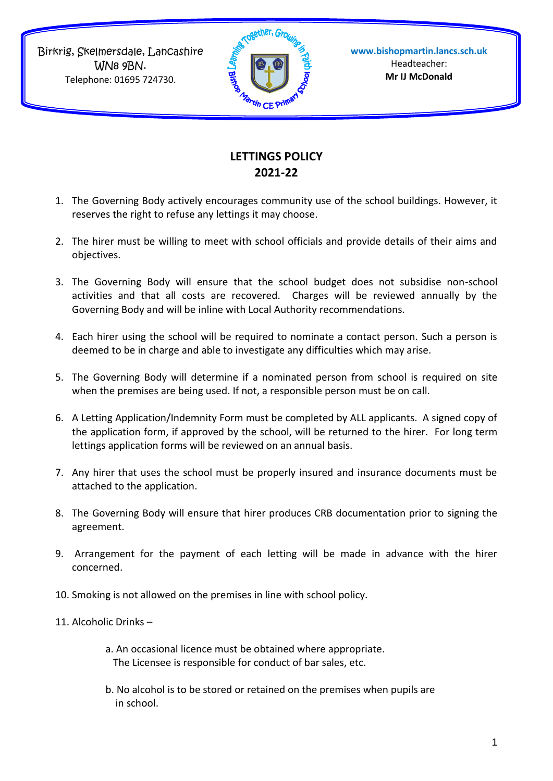Birkrig, Skelmersdale, Lancashire WN8 9BN. Telephone: 01695 724730.



## **LETTINGS POLICY 2021-22**

- 1. The Governing Body actively encourages community use of the school buildings. However, it reserves the right to refuse any lettings it may choose.
- 2. The hirer must be willing to meet with school officials and provide details of their aims and objectives.
- 3. The Governing Body will ensure that the school budget does not subsidise non-school activities and that all costs are recovered. Charges will be reviewed annually by the Governing Body and will be inline with Local Authority recommendations.
- 4. Each hirer using the school will be required to nominate a contact person. Such a person is deemed to be in charge and able to investigate any difficulties which may arise.
- 5. The Governing Body will determine if a nominated person from school is required on site when the premises are being used. If not, a responsible person must be on call.
- 6. A Letting Application/Indemnity Form must be completed by ALL applicants. A signed copy of the application form, if approved by the school, will be returned to the hirer. For long term lettings application forms will be reviewed on an annual basis.
- 7. Any hirer that uses the school must be properly insured and insurance documents must be attached to the application.
- 8. The Governing Body will ensure that hirer produces CRB documentation prior to signing the agreement.
- 9. Arrangement for the payment of each letting will be made in advance with the hirer concerned.
- 10. Smoking is not allowed on the premises in line with school policy.
- 11. Alcoholic Drinks
	- a. An occasional licence must be obtained where appropriate. The Licensee is responsible for conduct of bar sales, etc.
	- b. No alcohol is to be stored or retained on the premises when pupils are in school.